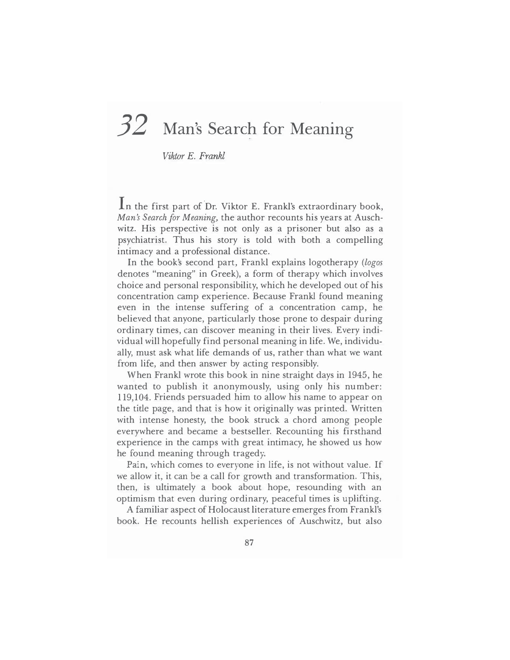## $32$  Man's Search for Meaning

*Viktor E. Frankl* 

 $\mathbf I$ n the first part of Dr. Viktor E. Frankl's extraordinary book, *Man's Search for Meaning,* the author recounts his years at Auschwitz. His perspective is not only as a prisoner but also as a psychiatrist. Thus his story is told with both a compelling intimacy and a professional distance.

In the book's second part, Frankl explains logotherapy (logos denotes "meaning" in Greek), a form of therapy which involves choice and personal responsibility, which he developed out of his concentration camp experience. Because Frankl found meaning even in the intense suffering of a concentration camp, he believed that anyone, particularly those prone to despair during ordinary times, can discover meaning in their lives. Every individual will hopefully find personal meaning in life. We, individually, must ask what life demands of us, rather than what we want from life, and then answer by acting responsibly.

When Frankl wrote this book in nine straight days in 1945, he wanted to publish it anonymously, using only his number: 119,104. Friends persuaded him to allow his name to appear on the title page, and that is how it originally was printed. Written with intense honesty, the book struck a chord among people everywhere and became a bestseller. Recounting his firsthand experience in the camps with great intimacy, he showed us how he found meaning through tragedy.

Pain, which comes to everyone in life, is not without value. If we allow it, it can be a call for growth and transformation. This, then, is ultimately a book about hope, resounding with an optimism that even during ordinary, peaceful times is uplifting.

A familiar aspect of Holocaust literature emerges from Frankl's book. He recounts hellish experiences of Auschwitz, but also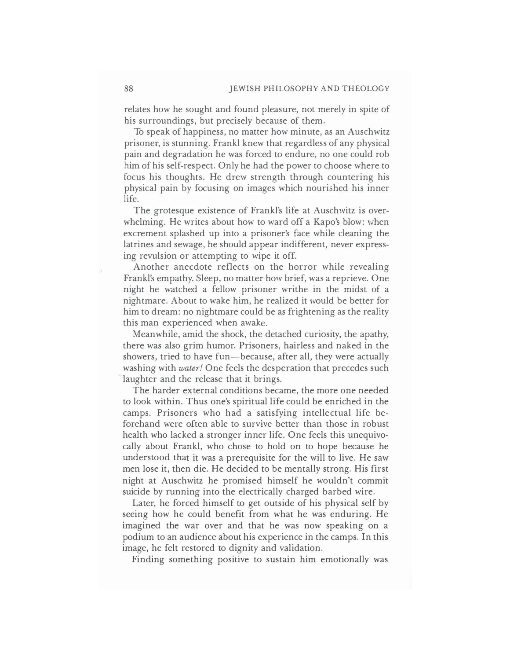relates how he sought and found pleasure, not merely in spite of his surroundings, but precisely because of them.

To speak of happiness, no matter how minute, as an Auschwitz prisoner, is stunning. Frankl knew that regardless of any physical pain and degradation he was forced to endure, no one could rob him of his self-respect. Only he had the power to choose where to focus his thoughts. He drew strength through countering his physical pain by focusing on images which nourished his inner  $l$ ife.

The grotesque existence of Frankl's life at Auschwitz is overwhelming. He writes about how to ward off a Kapo's blow: when excrement splashed up into a prisoner's face while cleaning the latrines and sewage, he should appear indifferent, never expressing revulsion or attempting to wipe it off.

Another anecdote reflects on the horror while revealing Frankl's empathy. Sleep, no matter how brief, was a reprieve. One night he watched a fellow prisoner writhe in the midst of a nightmare. About to wake him, he realized it would be better for him to dream: no nightmare could be as frightening as the reality this man experienced when awake.

Meanwhile, amid the shock, the detached curiosity, the apathy, there was also grim humor. Prisoners, hairless and naked in the showers, tried to have fun—because, after all, they were actually washing with *water!* One feels the desperation that precedes such laughter and the release that it brings.

The harder external conditions became, the more one needed to look within. Thus one's spiritual life could be enriched in the camps. Prisoners who had a satisfying intellectual life beforehand were often able to survive better than those in robust health who lacked a stronger inner life. One feels this unequivocally about Frankl, who chose to hold on to hope because he understood that it was a prerequisite for the will to live. He saw men lose it, then die. He decided to be mentally strong. His first night at Auschwitz he promised himself he wouldn't commit suicide by running into the electrically charged barbed wire.

Later, he forced himself to get outside of his physical self by seeing how he could benefit from what he was enduring. He imagined the war over and that he was now speaking on a podium to an audience about his experience in the camps. In this image, he felt restored to dignity and validation.

Finding something positive to sustain him emotionally was

88